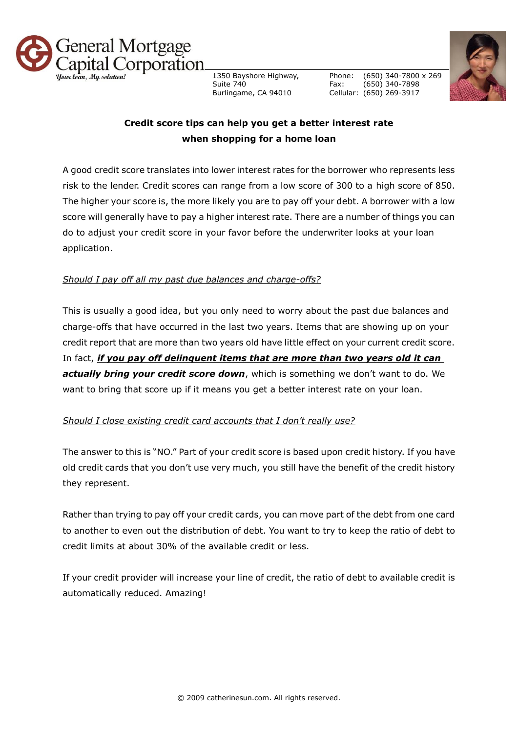

1350 Bayshore Highway, Suite 740 Burlingame, CA 94010

Phone: Fax: Cellular: (650) 269-3917 (650) 340-7800 x 269 (650) 340-7898



## **Credit score tips can help you get a better interest rate when shopping for a home loan**

A good credit score translates into lower interest rates for the borrower who represents less risk to the lender. Credit scores can range from a low score of 300 to a high score of 850. The higher your score is, the more likely you are to pay off your debt. A borrower with a low score will generally have to pay a higher interest rate. There are a number of things you can do to adjust your credit score in your favor before the underwriter looks at your loan application.

## *Should I pay off all my past due balances and charge-offs?*

This is usually a good idea, but you only need to worry about the past due balances and charge-offs that have occurred in the last two years. Items that are showing up on your credit report that are more than two years old have little effect on your current credit score. In fact, *if you pay off delinquent items that are more than two years old it can actually bring your credit score down*, which is something we don't want to do. We want to bring that score up if it means you get a better interest rate on your loan.

## *Should I close existing credit card accounts that I don't really use?*

The answer to this is "NO." Part of your credit score is based upon credit history. If you have old credit cards that you don't use very much, you still have the benefit of the credit history they represent.

Rather than trying to pay off your credit cards, you can move part of the debt from one card to another to even out the distribution of debt. You want to try to keep the ratio of debt to credit limits at about 30% of the available credit or less.

If your credit provider will increase your line of credit, the ratio of debt to available credit is automatically reduced. Amazing!